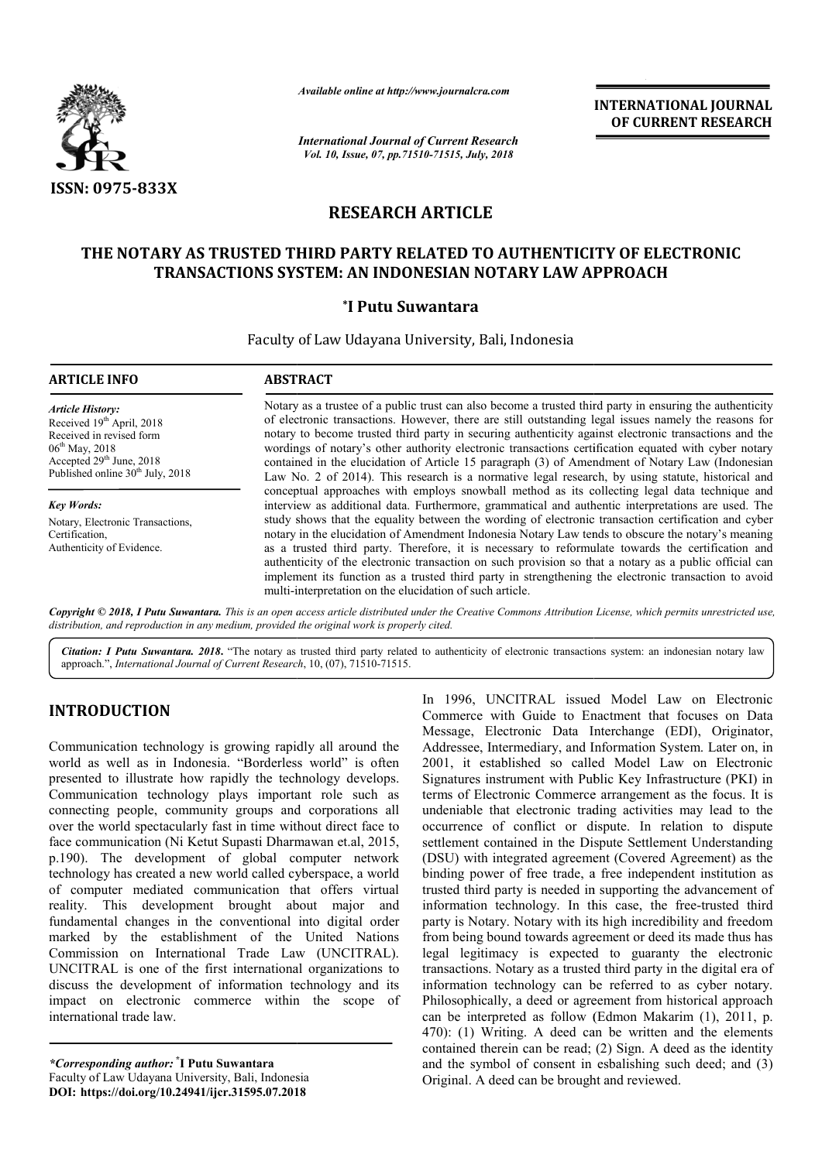

*Available online at http://www.journalcra.com*

*International Journal of Current Research Vol. 10, Issue, 07, pp.71510-71515, July, 2018*

**INTERNATIONAL JOURNAL OF CURRENT RESEARCH**

# **RESEARCH ARTICLE**

## THE NOTARY AS TRUSTED THIRD PARTY RELATED TO AUTHENTICITY OF ELECTRONIC<br>TRANSACTIONS SYSTEM: AN INDONESIAN NOTARY LAW APPROACH **TRANSACTIONS SYSTEM: AN INDONESIAN NOTARY LAW APPROACH**

### **\*I Putu Suwantara**

Faculty of Law Udayana University, Bali, Indonesia

| <b>ARTICLE INFO</b>                                                                                                                                                                                    | <b>ABSTRACT</b>                                                                                                                                                                                                                                                                                                                                                                                                                                                                                                                                                                                                                                                                                                                                                                                    |
|--------------------------------------------------------------------------------------------------------------------------------------------------------------------------------------------------------|----------------------------------------------------------------------------------------------------------------------------------------------------------------------------------------------------------------------------------------------------------------------------------------------------------------------------------------------------------------------------------------------------------------------------------------------------------------------------------------------------------------------------------------------------------------------------------------------------------------------------------------------------------------------------------------------------------------------------------------------------------------------------------------------------|
| <b>Article History:</b><br>Received 19th April, 2018<br>Received in revised form<br>$06^{\text{th}}$ May, 2018<br>Accepted 29 <sup>th</sup> June, 2018<br>Published online 30 <sup>th</sup> July, 2018 | Notary as a trustee of a public trust can also become a trusted third party in ensuring the authenticity<br>of electronic transactions. However, there are still outstanding legal issues namely the reasons for<br>notary to become trusted third party in securing authenticity against electronic transactions and the<br>wordings of notary's other authority electronic transactions certification equated with cyber notary<br>contained in the elucidation of Article 15 paragraph (3) of Amendment of Notary Law (Indonesian<br>Law No. 2 of 2014). This research is a normative legal research, by using statute, historical and                                                                                                                                                          |
| <b>Key Words:</b>                                                                                                                                                                                      | conceptual approaches with employs snowball method as its collecting legal data technique and<br>interview as additional data. Furthermore, grammatical and authentic interpretations are used. The<br>study shows that the equality between the wording of electronic transaction certification and cyber<br>notary in the elucidation of Amendment Indonesia Notary Law tends to obscure the notary's meaning<br>as a trusted third party. Therefore, it is necessary to reformulate towards the certification and<br>authenticity of the electronic transaction on such provision so that a notary as a public official can<br>implement its function as a trusted third party in strengthening the electronic transaction to avoid<br>multi-interpretation on the elucidation of such article. |
| Notary, Electronic Transactions,<br>Certification,<br>Authenticity of Evidence.                                                                                                                        |                                                                                                                                                                                                                                                                                                                                                                                                                                                                                                                                                                                                                                                                                                                                                                                                    |

Copyright © 2018, I Putu Suwantara. This is an open access article distributed under the Creative Commons Attribution License, which permits unrestricted use, *distribution, and reproduction in any medium, provided the original work is properly cited.*

Citation: I Putu Suwantara. 2018. "The notary as trusted third party related to authenticity of electronic transactions system: an indonesian notary law approach.", *International Journal of Current Research* , 10, (07), 71510-71515.

## **INTRODUCTION**

Communication technology is growing rapidly all around the world as well as in Indonesia. "Borderless world" is often presented to illustrate how rapidly the technology develops. Communication technology plays important role such as connecting people, community groups and corporations all over the world spectacularly fast in time without direct face to face communication (Ni Ketut Supasti Dharmawan et.al, 2015, p.190). The development of global computer network technology has created a new world called cybe of computer mediated communication that offers virtual reality. This development brought about major and fundamental changes in the conventional into digital order marked by the establishment of the United Nations Commission on International Trade Law (UNCITRAL). l UNCITRAL is one of the first international organizations to discuss the development of information technology and its impact on electronic commerce within the scope of international trade law. unity groups and corporations all<br>ly fast in time without direct face to<br>tut Supasti Dharmawan et.al, 2015,<br>tt of global computer network<br>ew world called cyberspace, a world

*\*Corresponding author:* **\* I Putu Suwantara** Faculty of Law Udayana University, Bali, Indonesia **DOI: https://doi.org/10.24941/ijcr.31595.07.2018**

In 1996, UNCITRAL issued Model Law on Electronic<br>
Commerce with Guide to Enactment that focuses on Data<br>
Message, Electronic Data Interchange (EDI), Originator,<br>
derless world" is often 2001, it established so called Model Commerce with Guide to Enactment that focuses on Data Message, Electronic Data Interchange (EDI), Originator, Addressee, Intermediary, and Information System. Later on, in 2001, it established so called Model Law on Electronic In 1996, UNCITRAL issued Model Law on Electronic Commerce with Guide to Enactment that focuses on Data Message, Electronic Data Interchange (EDI), Originator, Addressee, Intermediary, and Information System. Later on, in 2 terms of Electronic Commerce arrangement as the focus. It is undeniable that electronic trading activities may lead to the occurrence of conflict or dispute. In relation to dispute settlement contained in the Dispute Settlement Understanding (DSU) with integrated agreement (Covered Agreement) as the binding power of free trade, a free independent institution a trusted third party is needed in supporting the advancement of information technology. In this case, the free-trusted third party is Notary. Notary with its high incredibility and freedom from being bound towards agreement or deed its made thus has legal legitimacy is expected to guaranty the electronic transactions. Notary as a trusted third party in the digital era of information technology can be referred to as cyber notary. Philosophically, a deed or agreement from historical approach can be interpreted as follow (Edmon Makarim (1), 2011, p. 470): (1) Writing. A deed can be written and the elements contained therein can be read; (2) Sign. A deed as the identity and the symbol of consent in esbalishing such deed; and (3) Original. A deed can be brought or dispute. In relation to dispute<br>he Dispute Settlement Understanding<br>reement (Covered Agreement) as the<br>de, a free independent institution as is Notary. Notary with its high incredibility and freedom<br>being bound towards agreement or deed its made thus has<br>legitimacy is expected to guaranty the electronic<br>ctions. Notary as a trusted third party in the digital era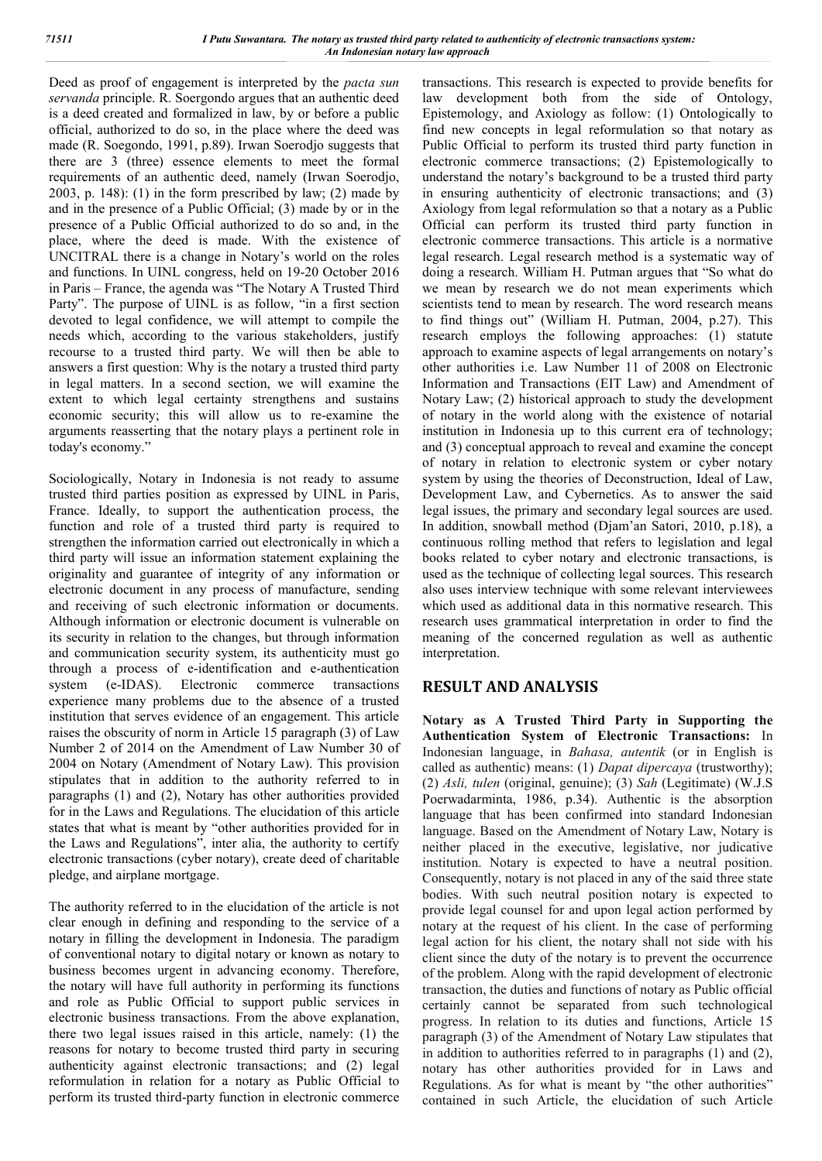Deed as proof of engagement is interpreted by the *pacta sun servanda* principle. R. Soergondo argues that an authentic deed is a deed created and formalized in law, by or before a public official, authorized to do so, in the place where the deed was made (R. Soegondo, 1991, p.89). Irwan Soerodjo suggests that there are 3 (three) essence elements to meet the formal requirements of an authentic deed, namely (Irwan Soerodjo, 2003, p. 148): (1) in the form prescribed by law; (2) made by and in the presence of a Public Official; (3) made by or in the presence of a Public Official authorized to do so and, in the place, where the deed is made. With the existence of UNCITRAL there is a change in Notary's world on the roles and functions. In UINL congress, held on 19-20 October 2016 in Paris – France, the agenda was "The Notary A Trusted Third Party". The purpose of UINL is as follow, "in a first section devoted to legal confidence, we will attempt to compile the needs which, according to the various stakeholders, justify recourse to a trusted third party. We will then be able to answers a first question: Why is the notary a trusted third party in legal matters. In a second section, we will examine the extent to which legal certainty strengthens and sustains economic security; this will allow us to re-examine the arguments reasserting that the notary plays a pertinent role in today's economy."

Sociologically, Notary in Indonesia is not ready to assume trusted third parties position as expressed by UINL in Paris, France. Ideally, to support the authentication process, the function and role of a trusted third party is required to strengthen the information carried out electronically in which a third party will issue an information statement explaining the originality and guarantee of integrity of any information or electronic document in any process of manufacture, sending and receiving of such electronic information or documents. Although information or electronic document is vulnerable on its security in relation to the changes, but through information and communication security system, its authenticity must go through a process of e-identification and e-authentication system (e-IDAS). Electronic commerce transactions experience many problems due to the absence of a trusted institution that serves evidence of an engagement. This article raises the obscurity of norm in Article 15 paragraph (3) of Law Number 2 of 2014 on the Amendment of Law Number 30 of 2004 on Notary (Amendment of Notary Law). This provision stipulates that in addition to the authority referred to in paragraphs (1) and (2), Notary has other authorities provided for in the Laws and Regulations. The elucidation of this article states that what is meant by "other authorities provided for in the Laws and Regulations", inter alia, the authority to certify electronic transactions (cyber notary), create deed of charitable pledge, and airplane mortgage.

The authority referred to in the elucidation of the article is not clear enough in defining and responding to the service of a notary in filling the development in Indonesia. The paradigm of conventional notary to digital notary or known as notary to business becomes urgent in advancing economy. Therefore, the notary will have full authority in performing its functions and role as Public Official to support public services in electronic business transactions. From the above explanation, there two legal issues raised in this article, namely: (1) the reasons for notary to become trusted third party in securing authenticity against electronic transactions; and (2) legal reformulation in relation for a notary as Public Official to perform its trusted third-party function in electronic commerce

transactions. This research is expected to provide benefits for law development both from the side of Ontology, Epistemology, and Axiology as follow: (1) Ontologically to find new concepts in legal reformulation so that notary as Public Official to perform its trusted third party function in electronic commerce transactions; (2) Epistemologically to understand the notary's background to be a trusted third party in ensuring authenticity of electronic transactions; and (3) Axiology from legal reformulation so that a notary as a Public Official can perform its trusted third party function in electronic commerce transactions. This article is a normative legal research. Legal research method is a systematic way of doing a research. William H. Putman argues that "So what do we mean by research we do not mean experiments which scientists tend to mean by research. The word research means to find things out" (William H. Putman, 2004, p.27). This research employs the following approaches: (1) statute approach to examine aspects of legal arrangements on notary's other authorities i.e. Law Number 11 of 2008 on Electronic Information and Transactions (EIT Law) and Amendment of Notary Law; (2) historical approach to study the development of notary in the world along with the existence of notarial institution in Indonesia up to this current era of technology; and (3) conceptual approach to reveal and examine the concept of notary in relation to electronic system or cyber notary system by using the theories of Deconstruction, Ideal of Law, Development Law, and Cybernetics. As to answer the said legal issues, the primary and secondary legal sources are used. In addition, snowball method (Djam'an Satori, 2010, p.18), a continuous rolling method that refers to legislation and legal books related to cyber notary and electronic transactions, is used as the technique of collecting legal sources. This research also uses interview technique with some relevant interviewees which used as additional data in this normative research. This research uses grammatical interpretation in order to find the meaning of the concerned regulation as well as authentic interpretation.

### **RESULT AND ANALYSIS**

**Notary as A Trusted Third Party in Supporting the Authentication System of Electronic Transactions:** In Indonesian language, in *Bahasa, autentik* (or in English is called as authentic) means: (1) *Dapat dipercaya* (trustworthy); (2) *Asli, tulen* (original, genuine); (3) *Sah* (Legitimate) (W.J.S Poerwadarminta, 1986, p.34). Authentic is the absorption language that has been confirmed into standard Indonesian language. Based on the Amendment of Notary Law, Notary is neither placed in the executive, legislative, nor judicative institution. Notary is expected to have a neutral position. Consequently, notary is not placed in any of the said three state bodies. With such neutral position notary is expected to provide legal counsel for and upon legal action performed by notary at the request of his client. In the case of performing legal action for his client, the notary shall not side with his client since the duty of the notary is to prevent the occurrence of the problem. Along with the rapid development of electronic transaction, the duties and functions of notary as Public official certainly cannot be separated from such technological progress. In relation to its duties and functions, Article 15 paragraph (3) of the Amendment of Notary Law stipulates that in addition to authorities referred to in paragraphs (1) and (2), notary has other authorities provided for in Laws and Regulations. As for what is meant by "the other authorities" contained in such Article, the elucidation of such Article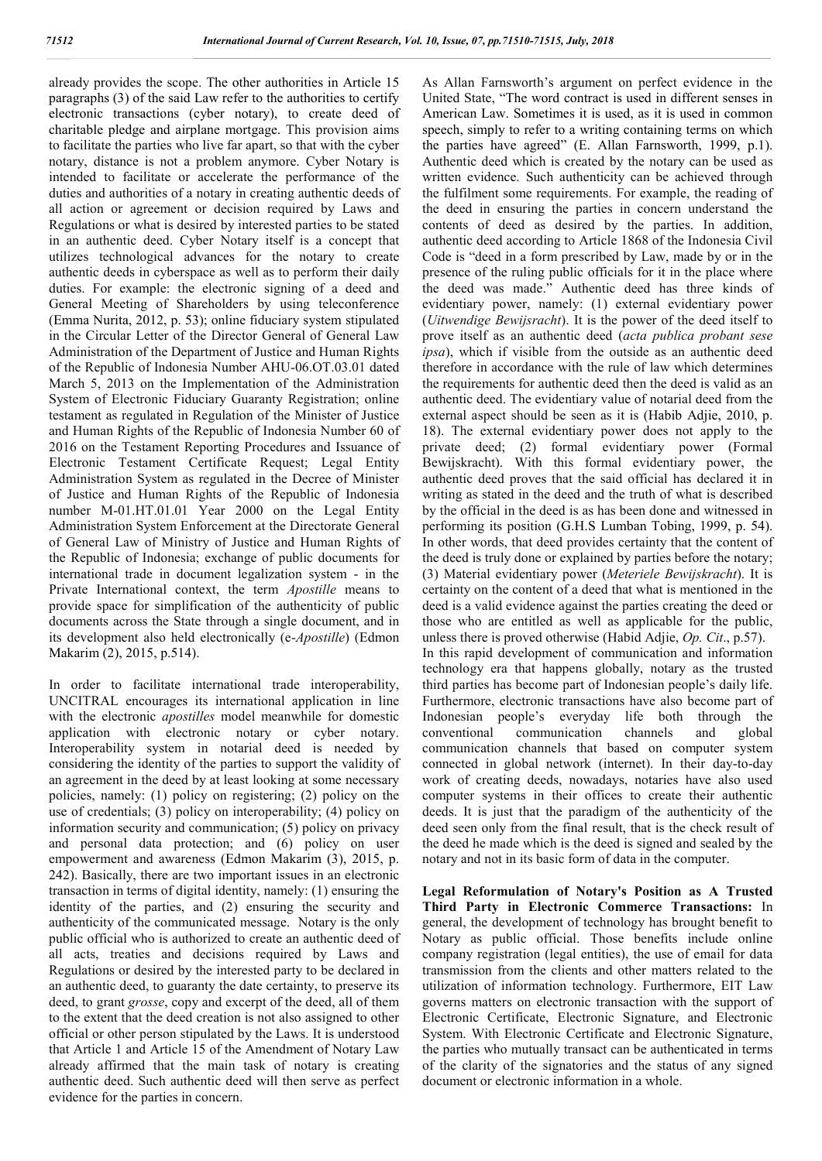already provides the scope. The other authorities in Article 15 paragraphs (3) of the said Law refer to the authorities to certify electronic transactions (cyber notary), to create deed of charitable pledge and airplane mortgage. This provision aims to facilitate the parties who live far apart, so that with the cyber notary, distance is not a problem anymore. Cyber Notary is intended to facilitate or accelerate the performance of the duties and authorities of a notary in creating authentic deeds of all action or agreement or decision required by Laws and Regulations or what is desired by interested parties to be stated in an authentic deed. Cyber Notary itself is a concept that utilizes technological advances for the notary to create authentic deeds in cyberspace as well as to perform their daily duties. For example: the electronic signing of a deed and General Meeting of Shareholders by using teleconference (Emma Nurita, 2012, p. 53); online fiduciary system stipulated in the Circular Letter of the Director General of General Law Administration of the Department of Justice and Human Rights of the Republic of Indonesia Number AHU-06.OT.03.01 dated March 5, 2013 on the Implementation of the Administration System of Electronic Fiduciary Guaranty Registration; online testament as regulated in Regulation of the Minister of Justice and Human Rights of the Republic of Indonesia Number 60 of 2016 on the Testament Reporting Procedures and Issuance of Electronic Testament Certificate Request; Legal Entity Administration System as regulated in the Decree of Minister of Justice and Human Rights of the Republic of Indonesia number M-01.HT.01.01 Year 2000 on the Legal Entity Administration System Enforcement at the Directorate General of General Law of Ministry of Justice and Human Rights of the Republic of Indonesia; exchange of public documents for international trade in document legalization system - in the Private International context, the term *Apostille* means to provide space for simplification of the authenticity of public documents across the State through a single document, and in its development also held electronically (e-*Apostille*) (Edmon Makarim (2), 2015, p.514).

In order to facilitate international trade interoperability, UNCITRAL encourages its international application in line with the electronic *apostilles* model meanwhile for domestic application with electronic notary or cyber notary. Interoperability system in notarial deed is needed by considering the identity of the parties to support the validity of an agreement in the deed by at least looking at some necessary policies, namely: (1) policy on registering; (2) policy on the use of credentials; (3) policy on interoperability; (4) policy on information security and communication; (5) policy on privacy and personal data protection; and (6) policy on user empowerment and awareness (Edmon Makarim (3), 2015, p. 242). Basically, there are two important issues in an electronic transaction in terms of digital identity, namely: (1) ensuring the identity of the parties, and (2) ensuring the security and authenticity of the communicated message. Notary is the only public official who is authorized to create an authentic deed of all acts, treaties and decisions required by Laws and Regulations or desired by the interested party to be declared in an authentic deed, to guaranty the date certainty, to preserve its deed, to grant *grosse*, copy and excerpt of the deed, all of them to the extent that the deed creation is not also assigned to other official or other person stipulated by the Laws. It is understood that Article 1 and Article 15 of the Amendment of Notary Law already affirmed that the main task of notary is creating authentic deed. Such authentic deed will then serve as perfect evidence for the parties in concern.

As Allan Farnsworth's argument on perfect evidence in the United State, "The word contract is used in different senses in American Law. Sometimes it is used, as it is used in common speech, simply to refer to a writing containing terms on which the parties have agreed" (E. Allan Farnsworth, 1999, p.1). Authentic deed which is created by the notary can be used as written evidence. Such authenticity can be achieved through the fulfilment some requirements. For example, the reading of the deed in ensuring the parties in concern understand the contents of deed as desired by the parties. In addition, authentic deed according to Article 1868 of the Indonesia Civil Code is "deed in a form prescribed by Law, made by or in the presence of the ruling public officials for it in the place where the deed was made." Authentic deed has three kinds of evidentiary power, namely: (1) external evidentiary power (*Uitwendige Bewijsracht*). It is the power of the deed itself to prove itself as an authentic deed (*acta publica probant sese ipsa*), which if visible from the outside as an authentic deed therefore in accordance with the rule of law which determines the requirements for authentic deed then the deed is valid as an authentic deed. The evidentiary value of notarial deed from the external aspect should be seen as it is (Habib Adjie, 2010, p. 18). The external evidentiary power does not apply to the private deed; (2) formal evidentiary power (Formal Bewijskracht). With this formal evidentiary power, the authentic deed proves that the said official has declared it in writing as stated in the deed and the truth of what is described by the official in the deed is as has been done and witnessed in performing its position (G.H.S Lumban Tobing, 1999, p. 54). In other words, that deed provides certainty that the content of the deed is truly done or explained by parties before the notary; (3) Material evidentiary power (*Meteriele Bewijskracht*). It is certainty on the content of a deed that what is mentioned in the deed is a valid evidence against the parties creating the deed or those who are entitled as well as applicable for the public, unless there is proved otherwise (Habid Adjie, *Op. Cit*., p.57). In this rapid development of communication and information technology era that happens globally, notary as the trusted third parties has become part of Indonesian people's daily life. Furthermore, electronic transactions have also become part of Indonesian people's everyday life both through the conventional communication channels and global communication channels that based on computer system connected in global network (internet). In their day-to-day work of creating deeds, nowadays, notaries have also used computer systems in their offices to create their authentic deeds. It is just that the paradigm of the authenticity of the deed seen only from the final result, that is the check result of the deed he made which is the deed is signed and sealed by the notary and not in its basic form of data in the computer.

**Legal Reformulation of Notary's Position as A Trusted Third Party in Electronic Commerce Transactions:** In general, the development of technology has brought benefit to Notary as public official. Those benefits include online company registration (legal entities), the use of email for data transmission from the clients and other matters related to the utilization of information technology. Furthermore, EIT Law governs matters on electronic transaction with the support of Electronic Certificate, Electronic Signature, and Electronic System. With Electronic Certificate and Electronic Signature, the parties who mutually transact can be authenticated in terms of the clarity of the signatories and the status of any signed document or electronic information in a whole.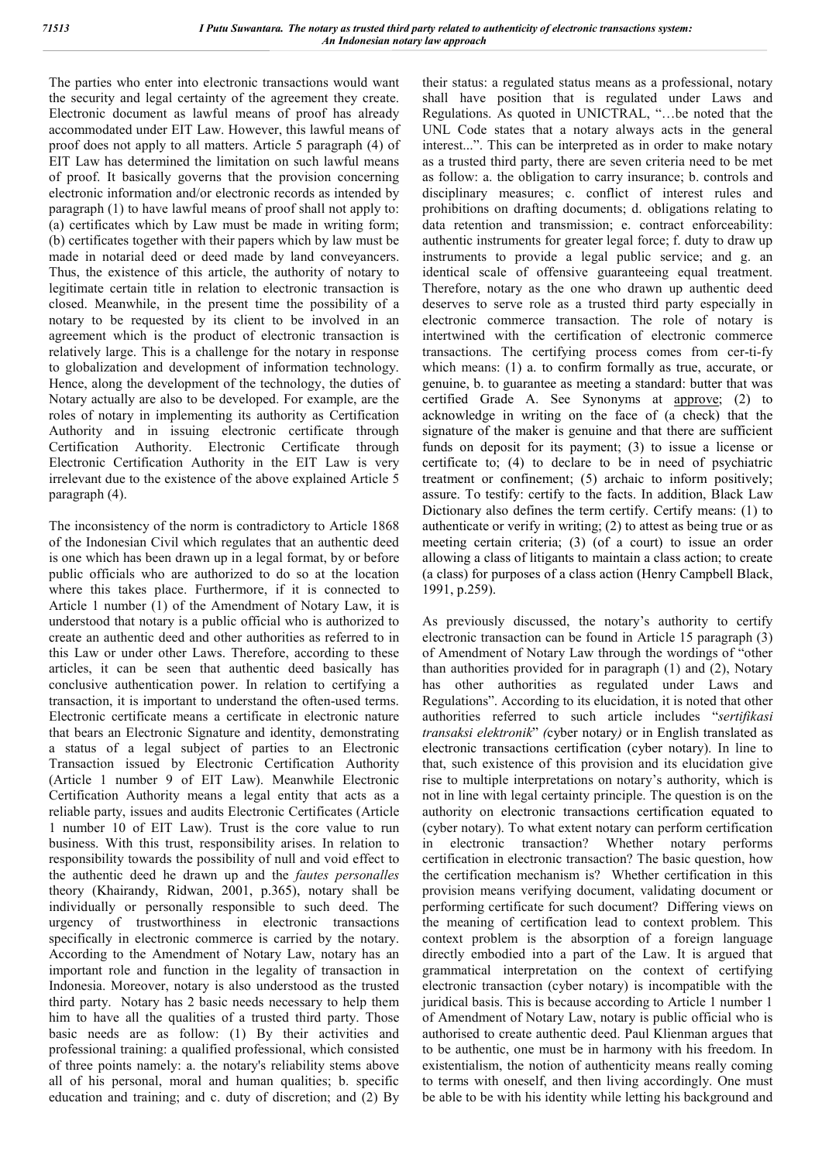The parties who enter into electronic transactions would want the security and legal certainty of the agreement they create. Electronic document as lawful means of proof has already accommodated under EIT Law. However, this lawful means of proof does not apply to all matters. Article 5 paragraph (4) of EIT Law has determined the limitation on such lawful means of proof. It basically governs that the provision concerning electronic information and/or electronic records as intended by paragraph (1) to have lawful means of proof shall not apply to: (a) certificates which by Law must be made in writing form; (b) certificates together with their papers which by law must be made in notarial deed or deed made by land conveyancers. Thus, the existence of this article, the authority of notary to legitimate certain title in relation to electronic transaction is closed. Meanwhile, in the present time the possibility of a notary to be requested by its client to be involved in an agreement which is the product of electronic transaction is relatively large. This is a challenge for the notary in response to globalization and development of information technology. Hence, along the development of the technology, the duties of Notary actually are also to be developed. For example, are the roles of notary in implementing its authority as Certification Authority and in issuing electronic certificate through Certification Authority. Electronic Certificate through Electronic Certification Authority in the EIT Law is very irrelevant due to the existence of the above explained Article 5 paragraph (4).

The inconsistency of the norm is contradictory to Article 1868 of the Indonesian Civil which regulates that an authentic deed is one which has been drawn up in a legal format, by or before public officials who are authorized to do so at the location where this takes place. Furthermore, if it is connected to Article 1 number (1) of the Amendment of Notary Law, it is understood that notary is a public official who is authorized to create an authentic deed and other authorities as referred to in this Law or under other Laws. Therefore, according to these articles, it can be seen that authentic deed basically has conclusive authentication power. In relation to certifying a transaction, it is important to understand the often-used terms. Electronic certificate means a certificate in electronic nature that bears an Electronic Signature and identity, demonstrating a status of a legal subject of parties to an Electronic Transaction issued by Electronic Certification Authority (Article 1 number 9 of EIT Law). Meanwhile Electronic Certification Authority means a legal entity that acts as a reliable party, issues and audits Electronic Certificates (Article 1 number 10 of EIT Law). Trust is the core value to run business. With this trust, responsibility arises. In relation to responsibility towards the possibility of null and void effect to the authentic deed he drawn up and the *fautes personalles*  theory (Khairandy, Ridwan, 2001, p.365), notary shall be individually or personally responsible to such deed. The urgency of trustworthiness in electronic transactions specifically in electronic commerce is carried by the notary. According to the Amendment of Notary Law, notary has an important role and function in the legality of transaction in Indonesia. Moreover, notary is also understood as the trusted third party. Notary has 2 basic needs necessary to help them him to have all the qualities of a trusted third party. Those basic needs are as follow: (1) By their activities and professional training: a qualified professional, which consisted of three points namely: a. the notary's reliability stems above all of his personal, moral and human qualities; b. specific education and training; and c. duty of discretion; and (2) By their status: a regulated status means as a professional, notary shall have position that is regulated under Laws and Regulations. As quoted in UNICTRAL, "…be noted that the UNL Code states that a notary always acts in the general interest...". This can be interpreted as in order to make notary as a trusted third party, there are seven criteria need to be met as follow: a. the obligation to carry insurance; b. controls and disciplinary measures; c. conflict of interest rules and prohibitions on drafting documents; d. obligations relating to data retention and transmission; e. contract enforceability: authentic instruments for greater legal force; f. duty to draw up instruments to provide a legal public service; and g. an identical scale of offensive guaranteeing equal treatment. Therefore, notary as the one who drawn up authentic deed deserves to serve role as a trusted third party especially in electronic commerce transaction. The role of notary is intertwined with the certification of electronic commerce transactions. The certifying process comes from cer-ti-fy which means: (1) a. to confirm formally as true, accurate, or genuine, b. to guarantee as meeting a standard: butter that was certified Grade A. See Synonyms at approve; (2) to acknowledge in writing on the face of (a check) that the signature of the maker is genuine and that there are sufficient funds on deposit for its payment; (3) to issue a license or certificate to; (4) to declare to be in need of psychiatric treatment or confinement; (5) archaic to inform positively; assure. To testify: certify to the facts. In addition, Black Law Dictionary also defines the term certify. Certify means: (1) to authenticate or verify in writing; (2) to attest as being true or as meeting certain criteria; (3) (of a court) to issue an order allowing a class of litigants to maintain a class action; to create (a class) for purposes of a class action (Henry Campbell Black, 1991, p.259).

As previously discussed, the notary's authority to certify electronic transaction can be found in Article 15 paragraph (3) of Amendment of Notary Law through the wordings of "other than authorities provided for in paragraph (1) and (2), Notary has other authorities as regulated under Laws and Regulations". According to its elucidation, it is noted that other authorities referred to such article includes "*sertifikasi transaksi elektronik*" *(*cyber notary*)* or in English translated as electronic transactions certification (cyber notary). In line to that, such existence of this provision and its elucidation give rise to multiple interpretations on notary's authority, which is not in line with legal certainty principle. The question is on the authority on electronic transactions certification equated to (cyber notary). To what extent notary can perform certification in electronic transaction? Whether notary performs certification in electronic transaction? The basic question, how the certification mechanism is? Whether certification in this provision means verifying document, validating document or performing certificate for such document? Differing views on the meaning of certification lead to context problem. This context problem is the absorption of a foreign language directly embodied into a part of the Law. It is argued that grammatical interpretation on the context of certifying electronic transaction (cyber notary) is incompatible with the juridical basis. This is because according to Article 1 number 1 of Amendment of Notary Law, notary is public official who is authorised to create authentic deed. Paul Klienman argues that to be authentic, one must be in harmony with his freedom. In existentialism, the notion of authenticity means really coming to terms with oneself, and then living accordingly. One must be able to be with his identity while letting his background and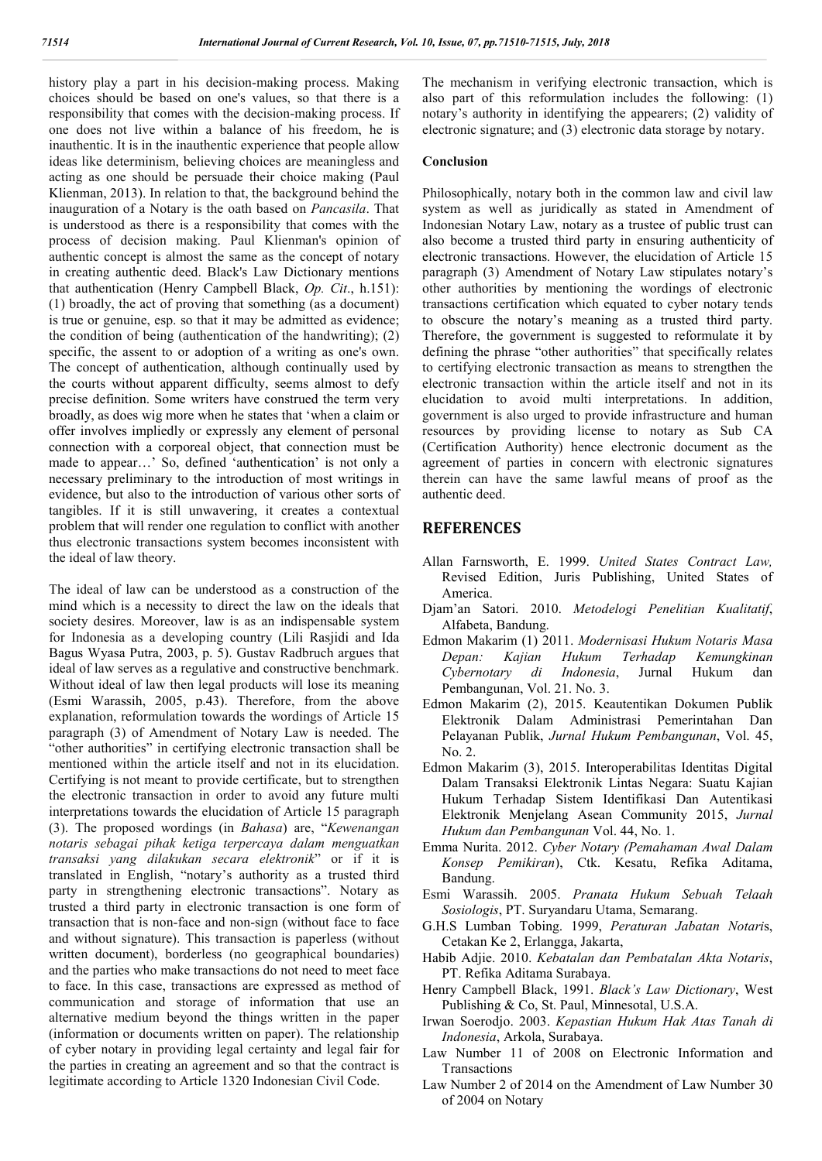history play a part in his decision-making process. Making choices should be based on one's values, so that there is a responsibility that comes with the decision-making process. If one does not live within a balance of his freedom, he is inauthentic. It is in the inauthentic experience that people allow ideas like determinism, believing choices are meaningless and acting as one should be persuade their choice making (Paul Klienman, 2013). In relation to that, the background behind the inauguration of a Notary is the oath based on *Pancasila*. That is understood as there is a responsibility that comes with the process of decision making. Paul Klienman's opinion of authentic concept is almost the same as the concept of notary in creating authentic deed. Black's Law Dictionary mentions that authentication (Henry Campbell Black, *Op. Cit*., h.151): (1) broadly, the act of proving that something (as a document) is true or genuine, esp. so that it may be admitted as evidence; the condition of being (authentication of the handwriting); (2) specific, the assent to or adoption of a writing as one's own. The concept of authentication, although continually used by the courts without apparent difficulty, seems almost to defy precise definition. Some writers have construed the term very broadly, as does wig more when he states that 'when a claim or offer involves impliedly or expressly any element of personal connection with a corporeal object, that connection must be made to appear…' So, defined 'authentication' is not only a necessary preliminary to the introduction of most writings in evidence, but also to the introduction of various other sorts of tangibles. If it is still unwavering, it creates a contextual problem that will render one regulation to conflict with another thus electronic transactions system becomes inconsistent with the ideal of law theory.

The ideal of law can be understood as a construction of the mind which is a necessity to direct the law on the ideals that society desires. Moreover, law is as an indispensable system for Indonesia as a developing country (Lili Rasjidi and Ida Bagus Wyasa Putra, 2003, p. 5). Gustav Radbruch argues that ideal of law serves as a regulative and constructive benchmark. Without ideal of law then legal products will lose its meaning (Esmi Warassih, 2005, p.43). Therefore, from the above explanation, reformulation towards the wordings of Article 15 paragraph (3) of Amendment of Notary Law is needed. The "other authorities" in certifying electronic transaction shall be mentioned within the article itself and not in its elucidation. Certifying is not meant to provide certificate, but to strengthen the electronic transaction in order to avoid any future multi interpretations towards the elucidation of Article 15 paragraph (3). The proposed wordings (in *Bahasa*) are, "*Kewenangan notaris sebagai pihak ketiga terpercaya dalam menguatkan transaksi yang dilakukan secara elektronik*" or if it is translated in English, "notary's authority as a trusted third party in strengthening electronic transactions". Notary as trusted a third party in electronic transaction is one form of transaction that is non-face and non-sign (without face to face and without signature). This transaction is paperless (without written document), borderless (no geographical boundaries) and the parties who make transactions do not need to meet face to face. In this case, transactions are expressed as method of communication and storage of information that use an alternative medium beyond the things written in the paper (information or documents written on paper). The relationship of cyber notary in providing legal certainty and legal fair for the parties in creating an agreement and so that the contract is legitimate according to Article 1320 Indonesian Civil Code.

The mechanism in verifying electronic transaction, which is also part of this reformulation includes the following: (1) notary's authority in identifying the appearers; (2) validity of electronic signature; and (3) electronic data storage by notary.

#### **Conclusion**

Philosophically, notary both in the common law and civil law system as well as juridically as stated in Amendment of Indonesian Notary Law, notary as a trustee of public trust can also become a trusted third party in ensuring authenticity of electronic transactions. However, the elucidation of Article 15 paragraph (3) Amendment of Notary Law stipulates notary's other authorities by mentioning the wordings of electronic transactions certification which equated to cyber notary tends to obscure the notary's meaning as a trusted third party. Therefore, the government is suggested to reformulate it by defining the phrase "other authorities" that specifically relates to certifying electronic transaction as means to strengthen the electronic transaction within the article itself and not in its elucidation to avoid multi interpretations. In addition, government is also urged to provide infrastructure and human resources by providing license to notary as Sub CA (Certification Authority) hence electronic document as the agreement of parties in concern with electronic signatures therein can have the same lawful means of proof as the authentic deed.

#### **REFERENCES**

- Allan Farnsworth, E. 1999. *United States Contract Law,*  Revised Edition, Juris Publishing, United States of America.
- Djam'an Satori. 2010. *Metodelogi Penelitian Kualitatif*, Alfabeta, Bandung.
- Edmon Makarim (1) 2011. *Modernisasi Hukum Notaris Masa Depan: Kajian Hukum Terhadap Kemungkinan Cybernotary di Indonesia*, Jurnal Hukum dan Pembangunan, Vol. 21. No. 3.
- Edmon Makarim (2), 2015. Keautentikan Dokumen Publik Elektronik Dalam Administrasi Pemerintahan Dan Pelayanan Publik, *Jurnal Hukum Pembangunan*, Vol. 45, No. 2.
- Edmon Makarim (3), 2015. Interoperabilitas Identitas Digital Dalam Transaksi Elektronik Lintas Negara: Suatu Kajian Hukum Terhadap Sistem Identifikasi Dan Autentikasi Elektronik Menjelang Asean Community 2015, *Jurnal Hukum dan Pembangunan* Vol. 44, No. 1.
- Emma Nurita. 2012. *Cyber Notary (Pemahaman Awal Dalam Konsep Pemikiran*), Ctk. Kesatu, Refika Aditama, Bandung.
- Esmi Warassih. 2005. *Pranata Hukum Sebuah Telaah Sosiologis*, PT. Suryandaru Utama, Semarang.
- G.H.S Lumban Tobing. 1999, *Peraturan Jabatan Notari*s, Cetakan Ke 2, Erlangga, Jakarta,
- Habib Adjie. 2010. *Kebatalan dan Pembatalan Akta Notaris*, PT. Refika Aditama Surabaya.
- Henry Campbell Black, 1991. *Black's Law Dictionary*, West Publishing & Co, St. Paul, Minnesotal, U.S.A.
- Irwan Soerodjo. 2003. *Kepastian Hukum Hak Atas Tanah di Indonesia*, Arkola, Surabaya.
- Law Number 11 of 2008 on Electronic Information and **Transactions**
- Law Number 2 of 2014 on the Amendment of Law Number 30 of 2004 on Notary